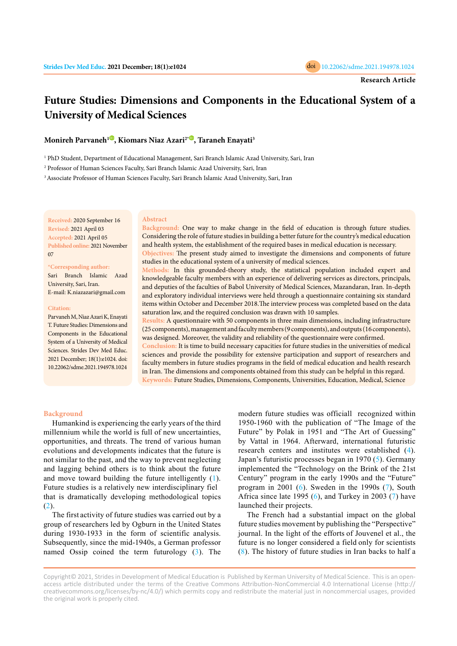

# **Future Studies: Dimensions and Components in the Educational System of a University of Medical Sciences**

**Monireh Parvaneh[1](https://orcid.org/0000-0001-5584-4882) , Kiomars Niaz Azari2\* [,](https://orcid.org/0000-0001-5241-6313) Taraneh Enayati3**

1 PhD Student, Department of Educational Management, Sari Branch Islamic Azad University, Sari, Iran

2 Professor of Human Sciences Faculty, Sari Branch Islamic Azad University, Sari, Iran

<sup>3</sup> Associate Professor of Human Sciences Faculty, Sari Branch Islamic Azad University, Sari, Iran

**Received:** 2020 September 16 **Revised:** 2021 April 03 **Accepted:** 2021 April 05 **Published online:** 2021 November 07

#### **\*Corresponding author:**

Sari Branch Islamic Azad University, Sari, Iran. E-mail: K.niazazari@gmail.com

#### **Citation:**

Parvaneh M, Niaz Azari K, Enayati T. Future Studies: Dimensions and Components in the Educational System of a University of Medical Sciences. Strides Dev Med Educ. 2021 December; 18(1):e1024. doi: 10.22062/sdme.2021.194978.1024

#### **Abstract**

**Background:** One way to make change in the field of education is through future studies. Considering the role of future studies in building a better future for the country's medical education and health system, the establishment of the required bases in medical education is necessary.

**Objectives:** The present study aimed to investigate the dimensions and components of future studies in the educational system of a university of medical sciences.

**Methods:** In this grounded-theory study, the statistical population included expert and knowledgeable faculty members with an experience of delivering services as directors, principals, and deputies of the faculties of Babol University of Medical Sciences, Mazandaran, Iran. In-depth and exploratory individual interviews were held through a questionnaire containing six standard items within October and December 2018.The interview process was completed based on the data saturation law, and the required conclusion was drawn with 10 samples.

**Results:** A questionnaire with 50 components in three main dimensions, including infrastructure (25 components), management and faculty members (9 components), and outputs (16 components), was designed. Moreover, the validity and reliability of the questionnaire were confirmed.

**Conclusion:** It is time to build necessary capacities for future studies in the universities of medical sciences and provide the possibility for extensive participation and support of researchers and faculty members in future studies programs in the field of medical education and health research in Iran. The dimensions and components obtained from this study can be helpful in this regard. **Keywords:** Future Studies, Dimensions, Components, Universities, Education, Medical, Science

#### **Background**

Humankind is experiencing the early years of the third millennium while the world is full of new uncertainties, opportunities, and threats. The trend of various human evolutions and developments indicates that the future is not similar to the past, and the way to prevent neglecting and lagging behind others is to think about the future and move toward building the future intelligently ([1\)](#page-5-0). Future studies is a relatively new interdisciplinary fiel that is dramatically developing methodological topics  $(2).$  $(2).$ 

The first activity of future studies was carried out by a group of researchers led by Ogburn in the United States during 1930-1933 in the form of scientific analysis. Subsequently, since the mid-1940s, a German professor named Ossip coined the term futurology ([3](#page-5-0)). The modern future studies was officiall recognized within 1950-1960 with the publication of "The Image of the Future" by Polak in 1951 and "The Art of Guessing" by Vattal in 1964. Afterward, international futuristic research centers and institutes were established [\(4](#page-5-0)). Japan's futuristic processes began in 1970 ([5\)](#page-5-0). Germany implemented the "Technology on the Brink of the 21st Century" program in the early 1990s and the "Future" program in 2001 [\(6\)](#page-6-0). Sweden in the 1990s [\(7](#page-6-0)), South Africa since late 1995  $(6)$  $(6)$ , and Turkey in 2003  $(7)$  $(7)$  have launched their projects.

The French had a substantial impact on the global future studies movement by publishing the "Perspective" journal. In the light of the efforts of Jouvenel et al., the future is no longer considered a field only for scientists ([8](#page-6-0)). The history of future studies in Iran backs to half a

Copyright© 2021, Strides in Development of Medical Education is Published by Kerman University of Medical Science. This is an openaccess article distributed under the terms of the Creative Commons Attribution-NonCommercial 4.0 International License (http:// creativecommons.org/licenses/by-nc/4.0/) which permits copy and redistribute the material just in noncommercial usages, provided the original work is properly cited.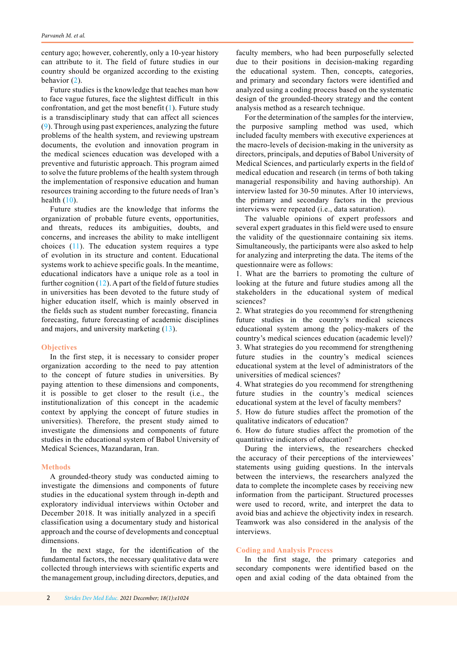century ago; however, coherently, only a 10-year history can attribute to it. The field of future studies in our country should be organized according to the existing behavior [\(2](#page-5-0)).

Future studies is the knowledge that teaches man how to face vague futures, face the slightest difficult in this confrontation, and get the most benefit  $(1)$  $(1)$ . Future study is a transdisciplinary study that can affect all sciences [\(9](#page-6-0)). Through using past experiences, analyzing the future problems of the health system, and reviewing upstream documents, the evolution and innovation program in the medical sciences education was developed with a preventive and futuristic approach. This program aimed to solve the future problems of the health system through the implementation of responsive education and human resources training according to the future needs of Iran's health  $(10)$ .

Future studies are the knowledge that informs the organization of probable future events, opportunities, and threats, reduces its ambiguities, doubts, and concerns, and increases the ability to make intelligent choices ([11](#page-6-0)). The education system requires a type of evolution in its structure and content. Educational systems work to achieve specific goals. In the meantime, educational indicators have a unique role as a tool in further cognition  $(12)$  $(12)$ . A part of the field of future studies in universities has been devoted to the future study of higher education itself, which is mainly observed in the fields such as student number forecasting, financia forecasting, future forecasting of academic disciplines and majors, and university marketing ([13\)](#page-6-0).

## **Objectives**

In the first step, it is necessary to consider proper organization according to the need to pay attention to the concept of future studies in universities. By paying attention to these dimensions and components, it is possible to get closer to the result (i.e., the institutionalization of this concept in the academic context by applying the concept of future studies in universities). Therefore, the present study aimed to investigate the dimensions and components of future studies in the educational system of Babol University of Medical Sciences, Mazandaran, Iran.

## **Methods**

A grounded-theory study was conducted aiming to investigate the dimensions and components of future studies in the educational system through in-depth and exploratory individual interviews within October and December 2018. It was initially analyzed in a specifi classification using a documentary study and historical approach and the course of developments and conceptual dimensions.

In the next stage, for the identification of the fundamental factors, the necessary qualitative data were collected through interviews with scientific experts and the management group, including directors, deputies, and

faculty members, who had been purposefully selected due to their positions in decision-making regarding the educational system. Then, concepts, categories, and primary and secondary factors were identified and analyzed using a coding process based on the systematic design of the grounded-theory strategy and the content analysis method as a research technique.

For the determination of the samples for the interview, the purposive sampling method was used, which included faculty members with executive experiences at the macro-levels of decision-making in the university as directors, principals, and deputies of Babol University of Medical Sciences, and particularly experts in the field of medical education and research (in terms of both taking managerial responsibility and having authorship). An interview lasted for 30-50 minutes. After 10 interviews, the primary and secondary factors in the previous interviews were repeated (i.e., data saturation).

The valuable opinions of expert professors and several expert graduates in this field were used to ensure the validity of the questionnaire containing six items. Simultaneously, the participants were also asked to help for analyzing and interpreting the data. The items of the questionnaire were as follows:

1. What are the barriers to promoting the culture of looking at the future and future studies among all the stakeholders in the educational system of medical sciences?

2. What strategies do you recommend for strengthening future studies in the country's medical sciences educational system among the policy-makers of the country's medical sciences education (academic level)? 3. What strategies do you recommend for strengthening future studies in the country's medical sciences educational system at the level of administrators of the universities of medical sciences?

4. What strategies do you recommend for strengthening future studies in the country's medical sciences educational system at the level of faculty members?

5. How do future studies affect the promotion of the qualitative indicators of education?

6. How do future studies affect the promotion of the quantitative indicators of education?

During the interviews, the researchers checked the accuracy of their perceptions of the interviewees' statements using guiding questions. In the intervals between the interviews, the researchers analyzed the data to complete the incomplete cases by receiving new information from the participant. Structured processes were used to record, write, and interpret the data to avoid bias and achieve the objectivity index in research. Teamwork was also considered in the analysis of the interviews.

### **Coding and Analysis Process**

In the first stage, the primary categories and secondary components were identified based on the open and axial coding of the data obtained from the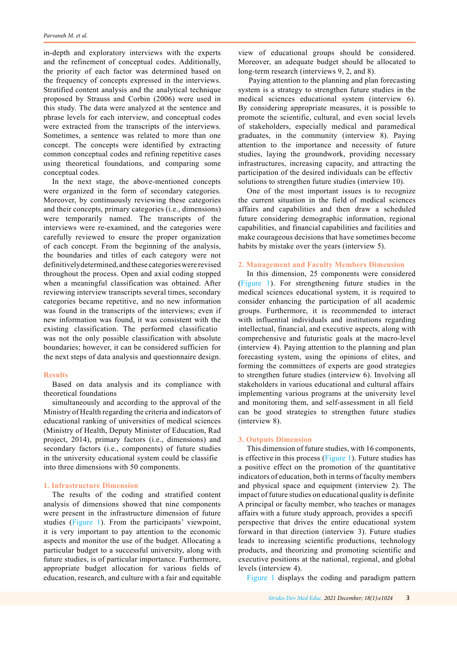in-depth and exploratory interviews with the experts and the refinement of conceptual codes. Additionally, the priority of each factor was determined based on the frequency of concepts expressed in the interviews. Stratified content analysis and the analytical technique proposed by Strauss and Corbin (2006) were used in this study. The data were analyzed at the sentence and phrase levels for each interview, and conceptual codes were extracted from the transcripts of the interviews. Sometimes, a sentence was related to more than one concept. The concepts were identified by extracting common conceptual codes and refining repetitive cases using theoretical foundations, and comparing some conceptual codes.

In the next stage, the above-mentioned concepts were organized in the form of secondary categories. Moreover, by continuously reviewing these categories and their concepts, primary categories (i.e., dimensions) were temporarily named. The transcripts of the interviews were re-examined, and the categories were carefully reviewed to ensure the proper organization of each concept. From the beginning of the analysis, the boundaries and titles of each category were not definitivelydetermined, and these categories were revised throughout the process. Open and axial coding stopped when a meaningful classification was obtained. After reviewing interview transcripts several times, secondary categories became repetitive, and no new information was found in the transcripts of the interviews; even if new information was found, it was consistent with the existing classification. The performed classificatio was not the only possible classification with absolute boundaries; however, it can be considered sufficien for the next steps of data analysis and questionnaire design.

# **Results**

Based on data analysis and its compliance with theoretical foundations

simultaneously and according to the approval of the Ministry of Health regarding the criteria and indicators of educational ranking of universities of medical sciences (Ministry of Health, Deputy Minister of Education, Rad project, 2014), primary factors (i.e., dimensions) and secondary factors (i.e., components) of future studies in the university educational system could be classifie into three dimensions with 50 components.

# **1. Infrastructure Dimension**

The results of the coding and stratified content analysis of dimensions showed that nine components were present in the infrastructure dimension of future studies ([Figure 1](#page-3-0)). From the participants' viewpoint, it is very important to pay attention to the economic aspects and monitor the use of the budget. Allocating a particular budget to a successful university, along with future studies, is of particular importance. Furthermore, appropriate budget allocation for various fields of education, research, and culture with a fair and equitable

view of educational groups should be considered. Moreover, an adequate budget should be allocated to long-term research (interviews 9, 2, and 8).

 Paying attention to the planning and plan forecasting system is a strategy to strengthen future studies in the medical sciences educational system (interview 6). By considering appropriate measures, it is possible to promote the scientific, cultural, and even social levels of stakeholders, especially medical and paramedical graduates, in the community (interview 8). Paying attention to the importance and necessity of future studies, laying the groundwork, providing necessary infrastructures, increasing capacity, and attracting the participation of the desired individuals can be effectiv solutions to strengthen future studies (interview 10).

One of the most important issues is to recognize the current situation in the field of medical sciences affairs and capabilities and then draw a scheduled future considering demographic information, regional capabilities, and financial capabilities and facilities and make courageous decisions that have sometimes become habits by mistake over the years (interview 5).

#### **2. Management and Faculty Members Dimension**

In this dimension, 25 components were considered ([Figure 1](#page-3-0)). For strengthening future studies in the medical sciences educational system, it is required to consider enhancing the participation of all academic groups. Furthermore, it is recommended to interact with influential individuals and institutions regarding intellectual, financial, and executive aspects, along with comprehensive and futuristic goals at the macro-level (interview 4). Paying attention to the planning and plan forecasting system, using the opinions of elites, and forming the committees of experts are good strategies to strengthen future studies (interview 6). Involving all stakeholders in various educational and cultural affairs implementing various programs at the university level and monitoring them, and self-assessment in all field can be good strategies to strengthen future studies (interview 8).

# **3. Outputs Dimension**

This dimension of future studies, with 16 components, is effective in this process [\(Figure 1](#page-3-0)). Future studies has a positive effect on the promotion of the quantitative indicators of education, both in terms of faculty members and physical space and equipment (interview 2). The impact of future studies on educational quality is definite A principal or faculty member, who teaches or manages affairs with a future study approach, provides a specifi perspective that drives the entire educational system forward in that direction (interview 3). Future studies leads to increasing scientific productions, technology products, and theorizing and promoting scientific and executive positions at the national, regional, and global levels (interview 4).

[Figure 1](#page-3-0) displays the coding and paradigm pattern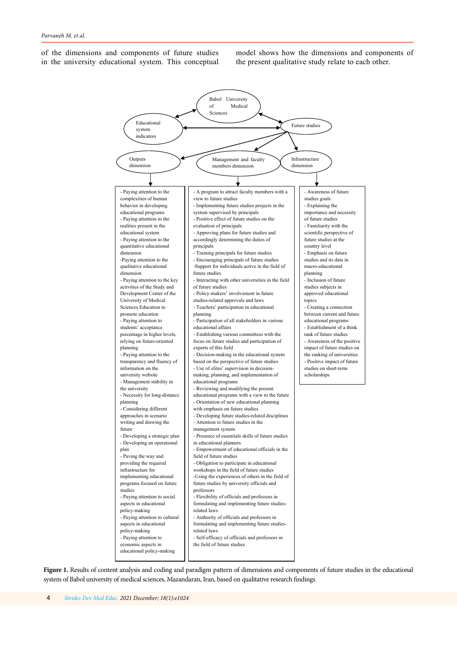<span id="page-3-0"></span>of the dimensions and components of future studies in the university educational system. This conceptual

model shows how the dimensions and components of the present qualitative study relate to each other.



Figure 1. Results of content analysis and coding and paradigm pattern of dimensions and components of future studies in the educational system of Babol university of medical sciences, Mazandaran, Iran, based on qualitative research findings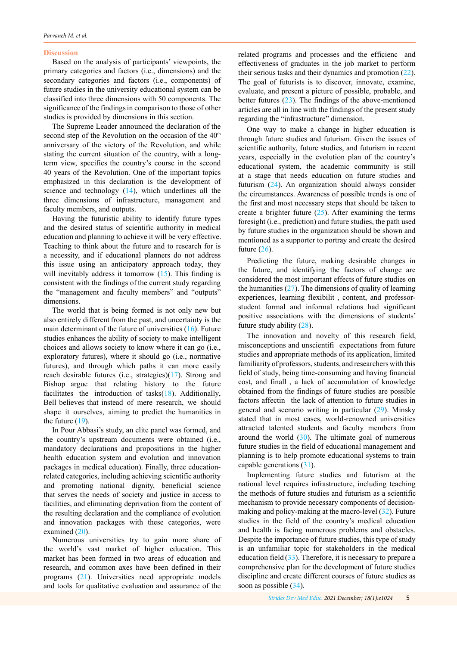#### **Discussion**

Based on the analysis of participants' viewpoints, the primary categories and factors (i.e., dimensions) and the secondary categories and factors (i.e., components) of future studies in the university educational system can be classified into three dimensions with 50 components. The significance of the findings in comparison to those of other studies is provided by dimensions in this section.

The Supreme Leader announced the declaration of the second step of the Revolution on the occasion of the  $40<sup>th</sup>$ anniversary of the victory of the Revolution, and while stating the current situation of the country, with a longterm view, specifies the country's course in the second 40 years of the Revolution. One of the important topics emphasized in this declaration is the development of science and technology [\(14](#page-6-0)), which underlines all the three dimensions of infrastructure, management and faculty members, and outputs.

Having the futuristic ability to identify future types and the desired status of scientific authority in medical education and planning to achieve it will be very effective. Teaching to think about the future and to research for is a necessity, and if educational planners do not address this issue using an anticipatory approach today, they will inevitably address it tomorrow  $(15)$  $(15)$ . This finding is consistent with the findings of the current study regarding the "management and faculty members" and "outputs" dimensions.

The world that is being formed is not only new but also entirely different from the past, and uncertainty is the main determinant of the future of universities [\(16](#page-6-0)). Future studies enhances the ability of society to make intelligent choices and allows society to know where it can go (i.e., exploratory futures), where it should go (i.e., normative futures), and through which paths it can more easily reach desirable futures (i.e., strategies)([17\)](#page-6-0). Strong and Bishop argue that relating history to the future facilitates the introduction of tasks([18\)](#page-6-0). Additionally, Bell believes that instead of mere research, we should shape it ourselves, aiming to predict the humanities in the future [\(19](#page-6-0)).

In Pour Abbasi's study, an elite panel was formed, and the country's upstream documents were obtained (i.e., mandatory declarations and propositions in the higher health education system and evolution and innovation packages in medical education). Finally, three educationrelated categories, including achieving scientific authority and promoting national dignity, beneficial science that serves the needs of society and justice in access to facilities, and eliminating deprivation from the content of the resulting declaration and the compliance of evolution and innovation packages with these categories, were examined [\(20](#page-6-0)).

Numerous universities try to gain more share of the world's vast market of higher education. This market has been formed in two areas of education and research, and common axes have been defined in their programs [\(21](#page-6-0)). Universities need appropriate models and tools for qualitative evaluation and assurance of the

related programs and processes and the efficienc and effectiveness of graduates in the job market to perform their serious tasks and their dynamics and promotion ([22\)](#page-6-0). The goal of futurists is to discover, innovate, examine, evaluate, and present a picture of possible, probable, and better futures [\(23](#page-6-0)). The findings of the above-mentioned articles are all in line with the findings of the present study regarding the "infrastructure" dimension.

One way to make a change in higher education is through future studies and futurism. Given the issues of scientific authority, future studies, and futurism in recent years, especially in the evolution plan of the country's educational system, the academic community is still at a stage that needs education on future studies and futurism [\(24](#page-6-0)). An organization should always consider the circumstances. Awareness of possible trends is one of the first and most necessary steps that should be taken to create a brighter future  $(25)$  $(25)$ . After examining the terms foresight (i.e., prediction) and future studies, the path used by future studies in the organization should be shown and mentioned as a supporter to portray and create the desired future  $(26)$  $(26)$ .

Predicting the future, making desirable changes in the future, and identifying the factors of change are considered the most important effects of future studies on the humanities  $(27)$  $(27)$ . The dimensions of quality of learning experiences, learning flexibilit , content, and professorstudent formal and informal relations had significant positive associations with the dimensions of students' future study ability [\(28](#page-6-0)).

The innovation and novelty of this research field, misconceptions and unscientifi expectations from future studies and appropriate methods of its application, limited familiarity of professors, students, and researchers with this field of study, being time-consuming and having financial cost, and finall , a lack of accumulation of knowledge obtained from the findings of future studies are possible factors affectin the lack of attention to future studies in general and scenario writing in particular ([29\)](#page-6-0). Minsky stated that in most cases, world-renowned universities attracted talented students and faculty members from around the world  $(30)$  $(30)$ . The ultimate goal of numerous future studies in the field of educational management and planning is to help promote educational systems to train capable generations [\(31](#page-6-0)).

Implementing future studies and futurism at the national level requires infrastructure, including teaching the methods of future studies and futurism as a scientific mechanism to provide necessary components of decisionmaking and policy-making at the macro-level  $(32)$  $(32)$ . Future studies in the field of the country's medical education and health is facing numerous problems and obstacles. Despite the importance of future studies, this type of study is an unfamiliar topic for stakeholders in the medical education field  $(33)$  $(33)$ . Therefore, it is necessary to prepare a comprehensive plan for the development of future studies discipline and create different courses of future studies as soon as possible [\(34](#page-6-0)).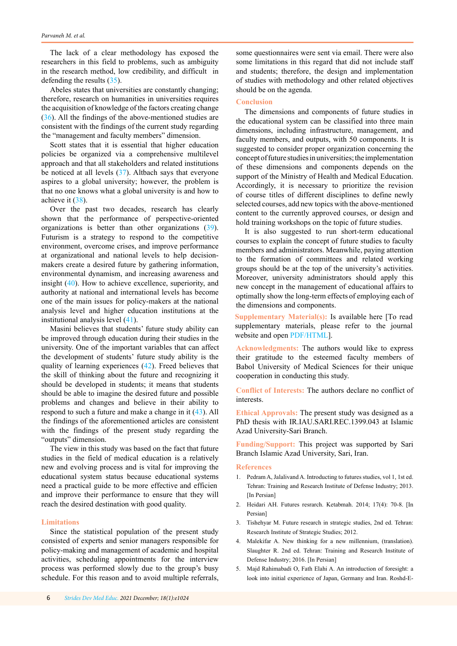<span id="page-5-0"></span>The lack of a clear methodology has exposed the researchers in this field to problems, such as ambiguity in the research method, low credibility, and difficult in defending the results [\(35\)](#page-6-0).

Abeles states that universities are constantly changing; therefore, research on humanities in universities requires the acquisition of knowledge of the factors creating change [\(36](#page-6-0)). All the findings of the above-mentioned studies are consistent with the findings of the current study regarding the "management and faculty members" dimension.

Scott states that it is essential that higher education policies be organized via a comprehensive multilevel approach and that all stakeholders and related institutions be noticed at all levels ([37\)](#page-6-0). Altbach says that everyone aspires to a global university; however, the problem is that no one knows what a global university is and how to achieve it [\(38](#page-6-0)).

Over the past two decades, research has clearly shown that the performance of perspective-oriented organizations is better than other organizations [\(39](#page-6-0)). Futurism is a strategy to respond to the competitive environment, overcome crises, and improve performance at organizational and national levels to help decisionmakers create a desired future by gathering information, environmental dynamism, and increasing awareness and insight ([40\)](#page-7-0). How to achieve excellence, superiority, and authority at national and international levels has become one of the main issues for policy-makers at the national analysis level and higher education institutions at the institutional analysis level [\(41](#page-7-0)).

Masini believes that students' future study ability can be improved through education during their studies in the university. One of the important variables that can affect the development of students' future study ability is the quality of learning experiences ([42\)](#page-7-0). Freed believes that the skill of thinking about the future and recognizing it should be developed in students; it means that students should be able to imagine the desired future and possible problems and changes and believe in their ability to respond to such a future and make a change in it ([43](#page-7-0)). All the findings of the aforementioned articles are consistent with the findings of the present study regarding the "outputs" dimension.

The view in this study was based on the fact that future studies in the field of medical education is a relatively new and evolving process and is vital for improving the educational system status because educational systems need a practical guide to be more effective and efficien and improve their performance to ensure that they will reach the desired destination with good quality.

#### **Limitations**

Since the statistical population of the present study consisted of experts and senior managers responsible for policy-making and management of academic and hospital activities, scheduling appointments for the interview process was performed slowly due to the group's busy schedule. For this reason and to avoid multiple referrals,

some questionnaires were sent via email. There were also some limitations in this regard that did not include staff and students; therefore, the design and implementation of studies with methodology and other related objectives should be on the agenda.

# **Conclusion**

The dimensions and components of future studies in the educational system can be classified into three main dimensions, including infrastructure, management, and faculty members, and outputs, with 50 components. It is suggested to consider proper organization concerning the concept of future studies in universities; the implementation of these dimensions and components depends on the support of the Ministry of Health and Medical Education. Accordingly, it is necessary to prioritize the revision of course titles of different disciplines to define newly selected courses, add new topics with the above-mentioned content to the currently approved courses, or design and hold training workshops on the topic of future studies.

It is also suggested to run short-term educational courses to explain the concept of future studies to faculty members and administrators. Meanwhile, paying attention to the formation of committees and related working groups should be at the top of the university's activities. Moreover, university administrators should apply this new concept in the management of educational affairs to optimally show the long-term effects of employing each of the dimensions and components.

**Supplementary Material(s):** Is available here [To read supplementary materials, please refer to the journal website and open [PDF/HTML](http://sdme.kmu.ac.ir/jufile?ar_sfile=814592)].

**Acknowledgments:** The authors would like to express their gratitude to the esteemed faculty members of Babol University of Medical Sciences for their unique cooperation in conducting this study.

**Conflict of Interests:** The authors declare no conflict of interests.

**Ethical Approvals:** The present study was designed as a PhD thesis with IR.IAU.SARI.REC.1399.043 at Islamic Azad University-Sari Branch.

**Funding/Support:** This project was supported by Sari Branch Islamic Azad University, Sari, Iran.

## **References**

- 1. Pedram A, Jalalivand A. Introducting to futures studies, vol 1, 1st ed. Tehran: Training and Research Institute of Defense Industry; 2013. [In Persian]
- 2. Heidari AH. Futures resrarch. Ketabmah. 2014; 17(4): 70-8. [In Persian]
- 3. Tishehyar M. Future research in strategic studies, 2nd ed. Tehran: Research Institute of Strategic Studies; 2012.
- 4. Malekifar A. New thinking for a new millennium, (translation). Slaughter R. 2nd ed. Tehran: Training and Research Institute of Defense Industry; 2016. [In Persian]
- 5. Majd Rahimabadi O, Fath Elahi A. An introduction of foresight: a look into initial experience of Japan, Germany and Iran. Roshd-E-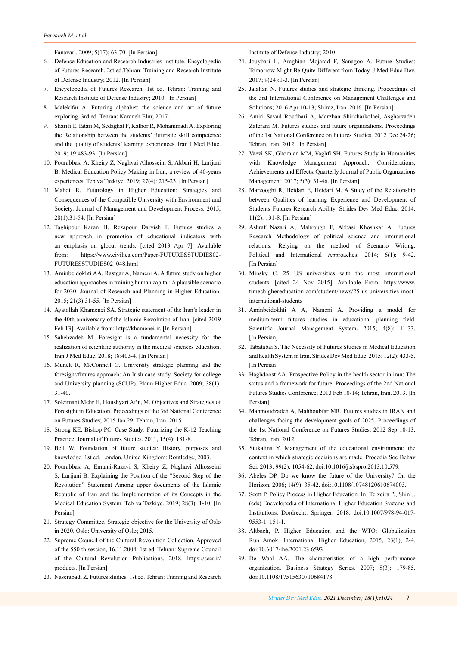Fanavari. 2009; 5(17); 63-70. [In Persian]

- <span id="page-6-0"></span>6. Defense Education and Research Industries Institute. Encyclopedia of Futures Research. 2st ed.Tehran: Training and Research Institute of Defense Industry; 2012. [In Persian]
- 7. Encyclopedia of Futures Research. 1st ed. Tehran: Training and Research Institute of Defense Industry; 2010. [In Persian]
- 8. Malekifar A. Futuring alphabet: the science and art of future exploring. 3rd ed. Tehran: Karaneh Elm; 2017.
- 9. Sharifi T, Tatari M, Sedaghat F, Kalhor R, Mohammadi A. Exploring the Relationship between the students' futuristic skill competence and the quality of students' learning experiences. Iran J Med Educ. 2019; 19:483-93. [In Persian]
- 10. Pourabbasi A, Kheiry Z, Naghvai Alhosseini S, Akbari H, Larijani B. Medical Education Policy Making in Iran; a review of 40-years experiences. Teb va Tazkiye. 2019; 27(4): 215-23. [In Persian]
- 11. Mahdi R. Futurology in Higher Education: Strategies and Consequences of the Compatible University with Environment and Society. Journal of Management and Development Process. 2015; 28(1):31-54. [In Persian]
- 12. Taghipour Karan H, Rezapour Darvish F. Futures studies a new approach in promotion of educational indicators with an emphasis on global trends. [cited 2013 Apr 7]. Available from: https://www.civilica.com/Paper-FUTURESSTUDIES02- FUTURESSTUDIES02\_048.html
- 13. Aminbeidokhti AA, Rastgar A, Nameni A. A future study on higher education approaches in training human capital: A plausible scenario for 2030. Journal of Research and Planning in Higher Education. 2015; 21(3):31-55. [In Persian]
- 14. Ayatollah Khamenei SA. Strategic statement of the Iran's leader in the 40th anniversary of the Islamic Revolution of Iran. [cited 2019 Feb 13]. Available from: http://khamenei.ir. [In Persian]
- 15. Sahebzadeh M. Foresight is a fundamental necessity for the realization of scientific authority in the medical sciences education. Iran J Med Educ. 2018; 18:403-4. [In Persian]
- 16. Munck R, McConnell G. University strategic planning and the foresight/futures approach: An Irish case study. Society for college and University planning (SCUP). Plann Higher Educ. 2009; 38(1): 31-40.
- 17. Soleimani Mehr H, Houshyari Afin, M. Objectives and Strategies of Foresight in Education. Proceedings of the 3rd National Conference on Futures Studies; 2015 Jan 29; Tehran, Iran. 2015.
- 18. Strong KE, Bishop PC. Case Study: Futurizing the K-12 Teaching Practice. Journal of Futures Studies. 2011, 15(4): 181-8.
- 19. Bell W. Foundation of future studies: History, purposes and knowledge. 1st ed. London, United Kingdom: Routledge; 2003.
- 20. Pourabbasi A, Emami-Razavi S, Kheiry Z, Naghavi Alhosseini S, Larijani B. Explaining the Position of the "Second Step of the Revolution" Statement Among upper documents of the Islamic Republic of Iran and the Implementation of its Concepts in the Medical Education System. Teb va Tazkiye. 2019; 28(3): 1-10. [In Persian]
- 21. Strategy Committee. Strategic objective for the University of Oslo in 2020. Oslo: University of Oslo; 2015.
- 22. Supreme Council of the Cultural Revolution Collection, Approved of the 550 th session, 16.11.2004. 1st ed, Tehran: Supreme Council of the Cultural Revolution Publications, 2018. https://sccr.ir/ products. [In Persian]
- 23. Naserabadi Z. Futures studies. 1st ed. Tehran: Training and Research

Institute of Defense Industry; 2010.

- 24. Jouybari L, Araghian Mojarad F, Sanagoo A. Future Studies: Tomorrow Might Be Quite Different from Today. J Med Educ Dev. 2017; 9(24):1-3. [In Persian]
- 25. Jalalian N. Futures studies and strategic thinking. Proceedings of the 3rd International Conference on Management Challenges and Solutions; 2016 Apr 10-13; Shiraz, Iran. 2016. [In Persian]
- 26. Amiri Savad Roudbari A, Marzban Shirkharkolaei, Asgharzadeh Zaferani M. Futures studies and future organizations. Proceedings of the 1st National Conference on Futures Studies. 2012 Dec 24-26; Tehran, Iran. 2012. [In Persian]
- 27. Vaezi SK, Ghomian MM, Vaghfi SH. Futures Study in Humanities with Knowledge Management Approach; Considerations, Achievements and Effects. Quarterly Journal of Public Organzations Management. 2017; 5(3): 31-46. [In Persian]
- 28. Marzooghi R, Heidari E, Heidari M. A Study of the Relationship between Qualities of learning Experience and Development of Students Futures Research Ability. Strides Dev Med Educ. 2014; 11(2): 131-8. [In Persian]
- 29. Ashraf Nazari A, Mahrough F, Abbasi Khoshkar A. Futures Research Methodology of political science and international relations: Relying on the method of Scenario Writing. Political and International Approaches. 2014; 6(1): 9-42. [In Persian]
- 30. Minsky C. 25 US universities with the most international students. [cited 24 Nov 2015]. Available From: https://www. timeshighereducation.com/student/news/25-us-universities-mostinternational-students
- 31. Aminbeidokhti A A, Nameni A. Providing a model for medium-term futures studies in educational planning field Scientific Journal Management System. 2015; 4(8): 11-33. [In Persian]
- 32. Tabatabai S. The Necessity of Futures Studies in Medical Education and health System in Iran. Strides Dev Med Educ. 2015; 12(2): 433-5. [In Persian]
- 33. Haghdoost AA. Prospective Policy in the health sector in iran; The status and a framework for future. Proceedings of the 2nd National Futures Studies Conference; 2013 Feb 10-14; Tehran, Iran. 2013. [In Persian]
- 34. Mahmoudzadeh A, Mahboubfar MR. Futures studies in IRAN and challenges facing the development goals of 2025. Proceedings of the 1st National Conference on Futures Studies. 2012 Sep 10-13; Tehran, Iran. 2012.
- 35. Stukalina Y. Management of the educational environment: the context in which strategic decisions are made. Procedia Soc Behav Sci. 2013; 99(2): 1054-62. doi:10.1016/j.sbspro.2013.10.579.
- 36. Abeles DP. Do we know the future of the University? On the Horizon, 2006; 14(9): 35-42. doi:10.1108/10748120610674003.
- 37. Scott P. Policy Process in Higher Education. In: Teixeira P., Shin J. (eds) Encyclopedia of International Higher Education Systems and Institutions. Dordrecht: Springer; 2018. doi:10.1007/978-94-017- 9553-1\_151-1.
- 38. Altbach, P. Higher Education and the WTO: Globalization Run Amok. International Higher Education, 2015, 23(1), 2-4. doi:10.6017/ihe.2001.23.6593
- 39. De Waal AA. The characteristics of a high performance organization. Business Strategy Series. 2007; 8(3): 179-85. doi:10.1108/17515630710684178.